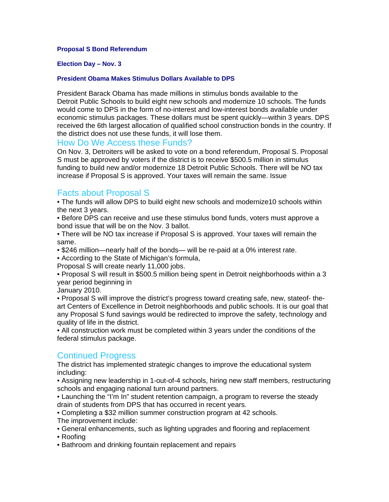### **Proposal S Bond Referendum**

#### **Election Day – Nov. 3**

### **President Obama Makes Stimulus Dollars Available to DPS**

President Barack Obama has made millions in stimulus bonds available to the Detroit Public Schools to build eight new schools and modernize 10 schools. The funds would come to DPS in the form of no-interest and low-interest bonds available under economic stimulus packages. These dollars must be spent quickly—within 3 years. DPS received the 6th largest allocation of qualified school construction bonds in the country. If the district does not use these funds, it will lose them.

### How Do We Access these Funds?

On Nov. 3, Detroiters will be asked to vote on a bond referendum, Proposal S. Proposal S must be approved by voters if the district is to receive \$500.5 million in stimulus funding to build new and/or modernize 18 Detroit Public Schools. There will be NO tax increase if Proposal S is approved. Your taxes will remain the same. Issue

# Facts about Proposal S

• The funds will allow DPS to build eight new schools and modernize10 schools within the next 3 years.

• Before DPS can receive and use these stimulus bond funds, voters must approve a bond issue that will be on the Nov. 3 ballot.

• There will be NO tax increase if Proposal S is approved. Your taxes will remain the same.

• \$246 million—nearly half of the bonds— will be re-paid at a 0% interest rate.

• According to the State of Michigan's formula,

Proposal S will create nearly 11,000 jobs.

• Proposal S will result in \$500.5 million being spent in Detroit neighborhoods within a 3 year period beginning in

January 2010.

• Proposal S will improve the district's progress toward creating safe, new, stateof- theart Centers of Excellence in Detroit neighborhoods and public schools. It is our goal that any Proposal S fund savings would be redirected to improve the safety, technology and quality of life in the district.

• All construction work must be completed within 3 years under the conditions of the federal stimulus package.

# Continued Progress

The district has implemented strategic changes to improve the educational system including:

• Assigning new leadership in 1-out-of-4 schools, hiring new staff members, restructuring schools and engaging national turn around partners.

• Launching the "I'm In" student retention campaign, a program to reverse the steady drain of students from DPS that has occurred in recent years.

• Completing a \$32 million summer construction program at 42 schools. The improvement include:

• General enhancements, such as lighting upgrades and flooring and replacement

• Roofing

• Bathroom and drinking fountain replacement and repairs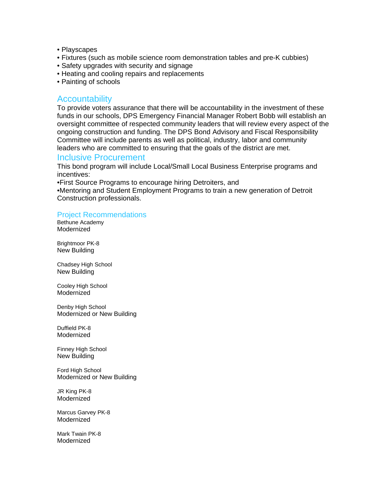- Playscapes
- Fixtures (such as mobile science room demonstration tables and pre-K cubbies)
- Safety upgrades with security and signage
- Heating and cooling repairs and replacements
- Painting of schools

## Accountability

To provide voters assurance that there will be accountability in the investment of these funds in our schools, DPS Emergency Financial Manager Robert Bobb will establish an oversight committee of respected community leaders that will review every aspect of the ongoing construction and funding. The DPS Bond Advisory and Fiscal Responsibility Committee will include parents as well as political, industry, labor and community leaders who are committed to ensuring that the goals of the district are met.

### Inclusive Procurement

This bond program will include Local/Small Local Business Enterprise programs and incentives:

•First Source Programs to encourage hiring Detroiters, and

•Mentoring and Student Employment Programs to train a new generation of Detroit Construction professionals.

### Project Recommendations

Bethune Academy Modernized

Brightmoor PK-8 New Building

Chadsey High School New Building

Cooley High School Modernized

Denby High School Modernized or New Building

Duffield PK-8 Modernized

Finney High School New Building

Ford High School Modernized or New Building

JR King PK-8 Modernized

Marcus Garvey PK-8 Modernized

Mark Twain PK-8 Modernized